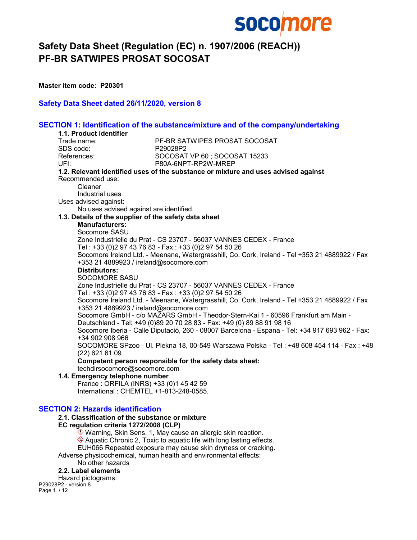

Master item code: P20301

## Safety Data Sheet dated 26/11/2020, version 8

|                                                       | SECTION 1: Identification of the substance/mixture and of the company/undertaking               |
|-------------------------------------------------------|-------------------------------------------------------------------------------------------------|
| 1.1. Product identifier                               |                                                                                                 |
| Trade name:                                           | PF-BR SATWIPES PROSAT SOCOSAT                                                                   |
| SDS code:                                             | P29028P2                                                                                        |
| References:                                           | SOCOSAT VP 60; SOCOSAT 15233                                                                    |
| UFI:                                                  | P80A-6NPT-RP2W-MREP                                                                             |
|                                                       | 1.2. Relevant identified uses of the substance or mixture and uses advised against              |
| Recommended use:                                      |                                                                                                 |
| Cleaner                                               |                                                                                                 |
| Industrial uses                                       |                                                                                                 |
| Uses advised against:                                 |                                                                                                 |
| No uses advised against are identified.               |                                                                                                 |
| 1.3. Details of the supplier of the safety data sheet |                                                                                                 |
| <b>Manufacturers:</b>                                 |                                                                                                 |
| Socomore SASU                                         |                                                                                                 |
|                                                       | Zone Industrielle du Prat - CS 23707 - 56037 VANNES CEDEX - France                              |
|                                                       | Tel: +33 (0)2 97 43 76 83 - Fax: +33 (0)2 97 54 50 26                                           |
|                                                       | Socomore Ireland Ltd. - Meenane, Watergrasshill, Co. Cork, Ireland - Tel +353 21 4889922 / Fax  |
| +353 21 4889923 / ireland@socomore.com                |                                                                                                 |
| <b>Distributors:</b>                                  |                                                                                                 |
| SOCOMORE SASU                                         |                                                                                                 |
|                                                       | Zone Industrielle du Prat - CS 23707 - 56037 VANNES CEDEX - France                              |
|                                                       | Tel: +33 (0)2 97 43 76 83 - Fax: +33 (0)2 97 54 50 26                                           |
| +353 21 4889923 / ireland@socomore.com                | Socomore Ireland Ltd. - Meenane, Watergrasshill, Co. Cork, Ireland - Tel +353 21 4889922 / Fax  |
|                                                       | Socomore GmbH - c/o MAZARS GmbH - Theodor-Stern-Kai 1 - 60596 Frankfurt am Main -               |
|                                                       | Deutschland - Tel: +49 (0)89 20 70 28 83 - Fax: +49 (0) 89 88 91 98 16                          |
|                                                       | Socomore Iberia - Calle Diputació, 260 - 08007 Barcelona - Espana - Tel: +34 917 693 962 - Fax: |
| +34 902 908 966                                       |                                                                                                 |
|                                                       | SOCOMORE SPzoo - Ul. Piekna 18, 00-549 Warszawa Polska - Tel : +48 608 454 114 - Fax : +48      |
| $(22)$ 621 61 09                                      |                                                                                                 |
|                                                       | Competent person responsible for the safety data sheet:                                         |
| techdirsocomore@socomore.com                          |                                                                                                 |
| 1.4. Emergency telephone number                       |                                                                                                 |
| France: ORFILA (INRS) +33 (0)1 45 42 59               |                                                                                                 |
| International: CHEMTEL +1-813-248-0585.               |                                                                                                 |

# SECTION 2: Hazards identification

#### 2.1. Classification of the substance or mixture

EC regulation criteria 1272/2008 (CLP)

 $\bullet$  Warning, Skin Sens. 1, May cause an allergic skin reaction. Aquatic Chronic 2, Toxic to aquatic life with long lasting effects. EUH066 Repeated exposure may cause skin dryness or cracking. Adverse physicochemical, human health and environmental effects: No other hazards

#### 2.2. Label elements

Hazard pictograms:

P29028P2 - version 8 Page 1 / 12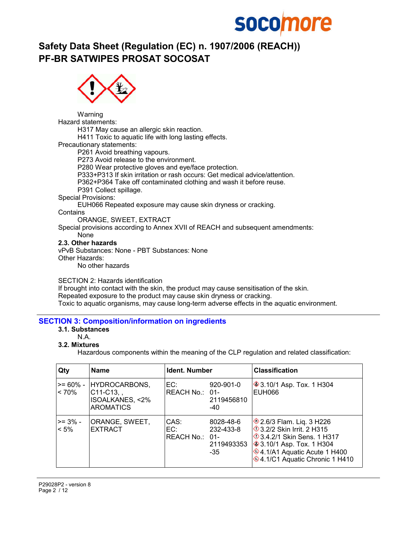# **socomore**

# Safety Data Sheet (Regulation (EC) n. 1907/2006 (REACH)) PF-BR SATWIPES PROSAT SOCOSAT



Warning

Hazard statements:

H317 May cause an allergic skin reaction.

H411 Toxic to aquatic life with long lasting effects.

Precautionary statements:

P261 Avoid breathing vapours.

P273 Avoid release to the environment.

P280 Wear protective gloves and eye/face protection.

P333+P313 If skin irritation or rash occurs: Get medical advice/attention.

P362+P364 Take off contaminated clothing and wash it before reuse.

P391 Collect spillage.

Special Provisions:

EUH066 Repeated exposure may cause skin dryness or cracking.

**Contains** 

ORANGE, SWEET, EXTRACT

Special provisions according to Annex XVII of REACH and subsequent amendments: None

#### 2.3. Other hazards

vPvB Substances: None - PBT Substances: None Other Hazards:

No other hazards

SECTION 2: Hazards identification

If brought into contact with the skin, the product may cause sensitisation of the skin. Repeated exposure to the product may cause skin dryness or cracking. Toxic to aquatic organisms, may cause long-term adverse effects in the aquatic environment.

## SECTION 3: Composition/information on ingredients

## 3.1. Substances

N.A.

3.2. Mixtures

Hazardous components within the meaning of the CLP regulation and related classification:

| Qty                  | <b>Name</b>                                                                    | <b>Ident. Number</b>          |                                             | <b>Classification</b>                                                                                                                                                                    |
|----------------------|--------------------------------------------------------------------------------|-------------------------------|---------------------------------------------|------------------------------------------------------------------------------------------------------------------------------------------------------------------------------------------|
| $>= 60\%$ -<br>< 70% | HYDROCARBONS,<br>$C11-C13,$ ,<br><b>ISOALKANES, &lt;2%</b><br><b>AROMATICS</b> | EC:<br>REACH No.: 01-         | 920-901-0<br>2119456810<br>-40              | <b>♦ 3.10/1 Asp. Tox. 1 H304</b><br><b>EUH066</b>                                                                                                                                        |
| ⊦>= 3% -<br>$< 5\%$  | ORANGE, SWEET,<br><b>EXTRACT</b>                                               | CAS:<br>EC:<br>REACH No.: 01- | 8028-48-6<br>232-433-8<br>2119493353<br>-35 | 2.6/3 Flam. Liq. 3 H226<br>3.2/2 Skin Irrit. 2 H315<br><b>♦ 3.4.2/1 Skin Sens, 1 H317</b><br>♦ 3.10/1 Asp. Tox. 1 H304<br>♦4.1/A1 Aquatic Acute 1 H400<br>♦4.1/C1 Aquatic Chronic 1 H410 |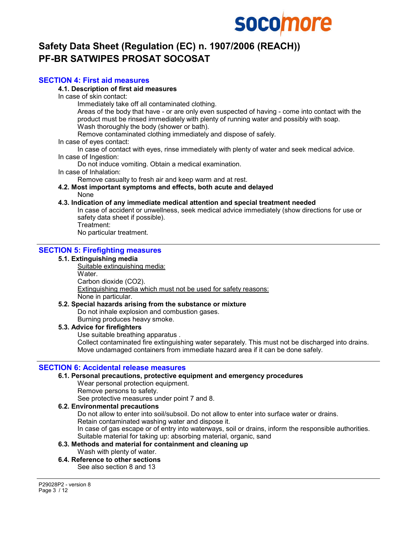# **socomore**

# Safety Data Sheet (Regulation (EC) n. 1907/2006 (REACH)) PF-BR SATWIPES PROSAT SOCOSAT

## SECTION 4: First aid measures

4.1. Description of first aid measures

In case of skin contact:

Immediately take off all contaminated clothing.

Areas of the body that have - or are only even suspected of having - come into contact with the product must be rinsed immediately with plenty of running water and possibly with soap. Wash thoroughly the body (shower or bath).

Remove contaminated clothing immediately and dispose of safely.

In case of eyes contact:

In case of contact with eyes, rinse immediately with plenty of water and seek medical advice. In case of Ingestion:

Do not induce vomiting. Obtain a medical examination.

In case of Inhalation:

Remove casualty to fresh air and keep warm and at rest.

#### 4.2. Most important symptoms and effects, both acute and delayed None

## 4.3. Indication of any immediate medical attention and special treatment needed

In case of accident or unwellness, seek medical advice immediately (show directions for use or safety data sheet if possible).

Treatment:

No particular treatment.

# SECTION 5: Firefighting measures

#### 5.1. Extinguishing media

Suitable extinguishing media: Water. Carbon dioxide (CO2). Extinguishing media which must not be used for safety reasons: None in particular.

#### 5.2. Special hazards arising from the substance or mixture

Do not inhale explosion and combustion gases.

Burning produces heavy smoke.

## 5.3. Advice for firefighters

Use suitable breathing apparatus .

Collect contaminated fire extinguishing water separately. This must not be discharged into drains. Move undamaged containers from immediate hazard area if it can be done safely.

## SECTION 6: Accidental release measures

#### 6.1. Personal precautions, protective equipment and emergency procedures

Wear personal protection equipment. Remove persons to safety.

See protective measures under point 7 and 8.

#### 6.2. Environmental precautions

Do not allow to enter into soil/subsoil. Do not allow to enter into surface water or drains. Retain contaminated washing water and dispose it. In case of gas escape or of entry into waterways, soil or drains, inform the responsible authorities. Suitable material for taking up: absorbing material, organic, sand

#### 6.3. Methods and material for containment and cleaning up Wash with plenty of water.

6.4. Reference to other sections See also section 8 and 13

P29028P2 - version 8 Page 3 / 12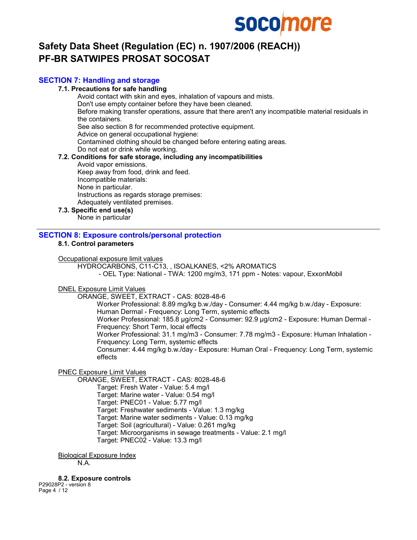

## SECTION 7: Handling and storage

#### 7.1. Precautions for safe handling

Avoid contact with skin and eyes, inhalation of vapours and mists. Don't use empty container before they have been cleaned. Before making transfer operations, assure that there aren't any incompatible material residuals in the containers. See also section 8 for recommended protective equipment. Advice on general occupational hygiene: Contamined clothing should be changed before entering eating areas. Do not eat or drink while working.

# 7.2. Conditions for safe storage, including any incompatibilities

Avoid vapor emissions.

Keep away from food, drink and feed. Incompatible materials: None in particular. Instructions as regards storage premises: Adequately ventilated premises.

#### 7.3. Specific end use(s)

None in particular

#### SECTION 8: Exposure controls/personal protection

## 8.1. Control parameters

#### Occupational exposure limit values

HYDROCARBONS, C11-C13, , ISOALKANES, <2% AROMATICS

- OEL Type: National - TWA: 1200 mg/m3, 171 ppm - Notes: vapour, ExxonMobil

#### DNEL Exposure Limit Values

ORANGE, SWEET, EXTRACT - CAS: 8028-48-6

Worker Professional: 8.89 mg/kg b.w./day - Consumer: 4.44 mg/kg b.w./day - Exposure: Human Dermal - Frequency: Long Term, systemic effects Worker Professional: 185.8 µg/cm2 - Consumer: 92.9 µg/cm2 - Exposure: Human Dermal - Frequency: Short Term, local effects Worker Professional: 31.1 mg/m3 - Consumer: 7.78 mg/m3 - Exposure: Human Inhalation - Frequency: Long Term, systemic effects Consumer: 4.44 mg/kg b.w./day - Exposure: Human Oral - Frequency: Long Term, systemic effects

PNEC Exposure Limit Values

ORANGE, SWEET, EXTRACT - CAS: 8028-48-6 Target: Fresh Water - Value: 5.4 mg/l Target: Marine water - Value: 0.54 mg/l Target: PNEC01 - Value: 5.77 mg/l Target: Freshwater sediments - Value: 1.3 mg/kg Target: Marine water sediments - Value: 0.13 mg/kg Target: Soil (agricultural) - Value: 0.261 mg/kg Target: Microorganisms in sewage treatments - Value: 2.1 mg/l Target: PNEC02 - Value: 13.3 mg/l

Biological Exposure Index

N.A.

8.2. Exposure controls

P29028P2 - version 8 Page 4 / 12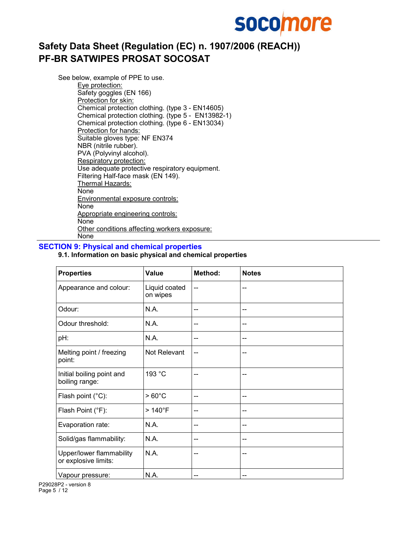

See below, example of PPE to use.

Eye protection: Safety goggles (EN 166) Protection for skin: Chemical protection clothing. (type 3 - EN14605) Chemical protection clothing. (type 5 - EN13982-1) Chemical protection clothing. (type 6 - EN13034) Protection for hands: Suitable gloves type: NF EN374 NBR (nitrile rubber). PVA (Polyvinyl alcohol). Respiratory protection: Use adequate protective respiratory equipment. Filtering Half-face mask (EN 149). Thermal Hazards: None Environmental exposure controls: None Appropriate engineering controls: None Other conditions affecting workers exposure: None

#### SECTION 9: Physical and chemical properties

## 9.1. Information on basic physical and chemical properties

| <b>Properties</b>                                | Value                     | Method: | <b>Notes</b> |
|--------------------------------------------------|---------------------------|---------|--------------|
| Appearance and colour:                           | Liquid coated<br>on wipes | --      |              |
| Odour:                                           | N.A.                      | --      | --           |
| Odour threshold:                                 | N.A.                      | --      | --           |
| pH:                                              | N.A.                      | --      | --           |
| Melting point / freezing<br>point:               | Not Relevant              | --      | --           |
| Initial boiling point and<br>boiling range:      | 193 °C                    | --      | --           |
| Flash point (°C):                                | $>60^{\circ}$ C           | --      | --           |
| Flash Point (°F):                                | $>140^{\circ}$ F          | --      | --           |
| Evaporation rate:                                | N.A.                      | --      | --           |
| Solid/gas flammability:                          | N.A.                      | --      | --           |
| Upper/lower flammability<br>or explosive limits: | N.A.                      | --      | --           |
| Vapour pressure:                                 | N.A.                      | --      | --           |

P29028P2 - version 8 Page 5 / 12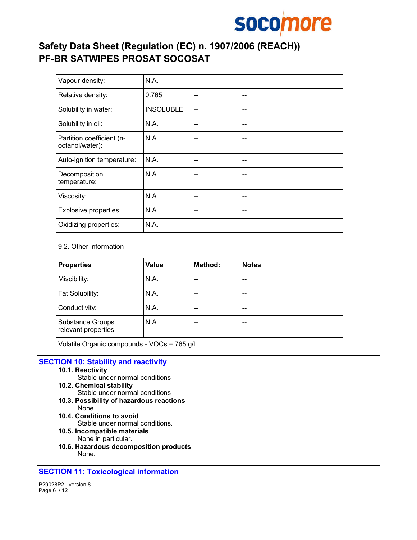

| Vapour density:                              | N.A.             | -- | --    |
|----------------------------------------------|------------------|----|-------|
| Relative density:                            | 0.765            | -- | --    |
| Solubility in water:                         | <b>INSOLUBLE</b> | -- | --    |
| Solubility in oil:                           | N.A.             | -- | --    |
| Partition coefficient (n-<br>octanol/water): | N.A.             | -- | --    |
| Auto-ignition temperature:                   | N.A.             | -- | --    |
| Decomposition<br>temperature:                | N.A.             | -- | $- -$ |
| Viscosity:                                   | N.A.             | -- | $- -$ |
| Explosive properties:                        | N.A.             | -- | $- -$ |
| Oxidizing properties:                        | N.A.             |    | --    |

#### 9.2. Other information

| <b>Properties</b>                              | <b>Value</b> | Method: | <b>Notes</b> |
|------------------------------------------------|--------------|---------|--------------|
| Miscibility:                                   | N.A.         | --      | --           |
| Fat Solubility:                                | N.A.         | $- -$   | --           |
| Conductivity:                                  | N.A.         | --      | --           |
| <b>Substance Groups</b><br>relevant properties | N.A.         | --      | --           |

Volatile Organic compounds - VOCs = 765 g/l

## SECTION 10: Stability and reactivity

#### 10.1. Reactivity

- Stable under normal conditions
- 10.2. Chemical stability
	- Stable under normal conditions
- 10.3. Possibility of hazardous reactions None
- 10.4. Conditions to avoid Stable under normal conditions.
- 10.5. Incompatible materials None in particular.
- 10.6. Hazardous decomposition products None.

## SECTION 11: Toxicological information

P29028P2 - version 8 Page 6 / 12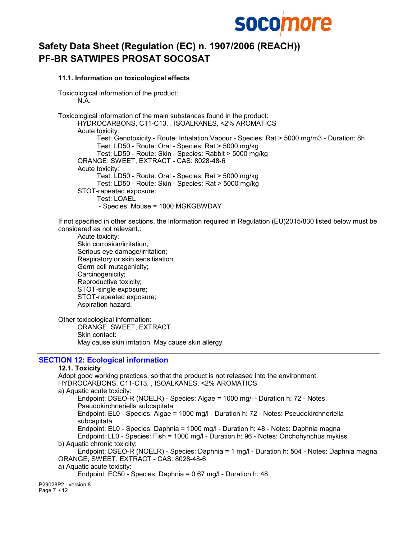

#### 11.1. Information on toxicological effects

Toxicological information of the product: N.A.

Toxicological information of the main substances found in the product: HYDROCARBONS, C11-C13, , ISOALKANES, <2% AROMATICS Acute toxicity: Test: Genotoxicity - Route: Inhalation Vapour - Species: Rat > 5000 mg/m3 - Duration: 8h Test: LD50 - Route: Oral - Species: Rat > 5000 mg/kg Test: LD50 - Route: Skin - Species: Rabbit > 5000 mg/kg ORANGE, SWEET, EXTRACT - CAS: 8028-48-6 Acute toxicity: Test: LD50 - Route: Oral - Species: Rat > 5000 mg/kg Test: LD50 - Route: Skin - Species: Rat > 5000 mg/kg STOT-repeated exposure: Test: LOAEL - Species: Mouse = 1000 MGKGBWDAY

If not specified in other sections, the information required in Regulation (EU)2015/830 listed below must be considered as not relevant.:

Acute toxicity; Skin corrosion/irritation; Serious eye damage/irritation; Respiratory or skin sensitisation; Germ cell mutagenicity; Carcinogenicity; Reproductive toxicity; STOT-single exposure; STOT-repeated exposure; Aspiration hazard.

Other toxicological information: ORANGE, SWEET, EXTRACT Skin contact: May cause skin irritation. May cause skin allergy.

## SECTION 12: Ecological information

#### 12.1. Toxicity Adopt good working practices, so that the product is not released into the environment. HYDROCARBONS, C11-C13, , ISOALKANES, <2% AROMATICS a) Aquatic acute toxicity: Endpoint: DSEO-R (NOELR) - Species: Algae = 1000 mg/l - Duration h: 72 - Notes: Pseudokirchneriella subcapitata Endpoint: EL0 - Species: Algae = 1000 mg/l - Duration h: 72 - Notes: Pseudokirchneriella subcapitata Endpoint: EL0 - Species: Daphnia = 1000 mg/l - Duration h: 48 - Notes: Daphnia magna Endpoint: LL0 - Species: Fish = 1000 mg/l - Duration h: 96 - Notes: Onchohynchus mykiss b) Aquatic chronic toxicity: Endpoint: DSEO-R (NOELR) - Species: Daphnia = 1 mg/l - Duration h: 504 - Notes: Daphnia magna ORANGE, SWEET, EXTRACT - CAS: 8028-48-6 a) Aquatic acute toxicity: Endpoint: EC50 - Species: Daphnia = 0.67 mg/l - Duration h: 48 P29028P2 - version 8 Page 7 / 12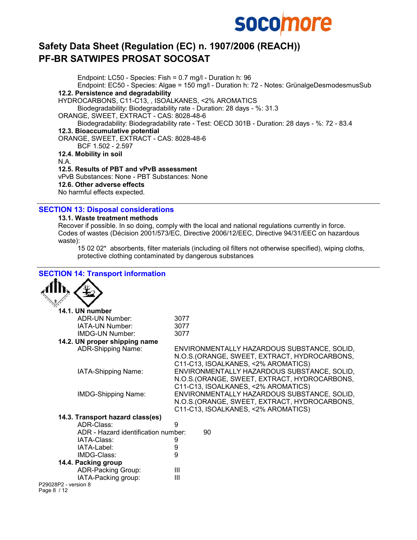

Endpoint: LC50 - Species: Fish = 0.7 mg/l - Duration h: 96 Endpoint: EC50 - Species: Algae = 150 mg/l - Duration h: 72 - Notes: GrünalgeDesmodesmusSub 12.2. Persistence and degradability HYDROCARBONS, C11-C13, , ISOALKANES, <2% AROMATICS Biodegradability: Biodegradability rate - Duration: 28 days - %: 31.3 ORANGE, SWEET, EXTRACT - CAS: 8028-48-6 Biodegradability: Biodegradability rate - Test: OECD 301B - Duration: 28 days - %: 72 - 83.4 12.3. Bioaccumulative potential ORANGE, SWEET, EXTRACT - CAS: 8028-48-6 BCF 1.502 - 2.597 12.4. Mobility in soil N.A. 12.5. Results of PBT and vPvB assessment vPvB Substances: None - PBT Substances: None 12.6. Other adverse effects No harmful effects expected.

SECTION 13: Disposal considerations

#### 13.1. Waste treatment methods

Recover if possible. In so doing, comply with the local and national regulations currently in force. Codes of wastes (Décision 2001/573/EC, Directive 2006/12/EEC, Directive 94/31/EEC on hazardous waste):

15 02 02\* absorbents, filter materials (including oil filters not otherwise specified), wiping cloths, protective clothing contaminated by dangerous substances

| <b>SECTION 14: Transport information</b> |                                                                                                                                     |
|------------------------------------------|-------------------------------------------------------------------------------------------------------------------------------------|
|                                          |                                                                                                                                     |
| 14.1. UN number                          |                                                                                                                                     |
| ADR-UN Number:                           | 3077                                                                                                                                |
| IATA-UN Number:                          | 3077                                                                                                                                |
| IMDG-UN Number:                          | 3077                                                                                                                                |
| 14.2. UN proper shipping name            |                                                                                                                                     |
| ADR-Shipping Name:                       | ENVIRONMENTALLY HAZARDOUS SUBSTANCE, SOLID,<br>N.O.S. (ORANGE, SWEET, EXTRACT, HYDROCARBONS,<br>C11-C13, ISOALKANES, <2% AROMATICS) |
| IATA-Shipping Name:                      | ENVIRONMENTALLY HAZARDOUS SUBSTANCE, SOLID,<br>N.O.S.(ORANGE, SWEET, EXTRACT, HYDROCARBONS,<br>C11-C13, ISOALKANES, <2% AROMATICS)  |
| <b>IMDG-Shipping Name:</b>               | ENVIRONMENTALLY HAZARDOUS SUBSTANCE, SOLID,<br>N.O.S. (ORANGE, SWEET, EXTRACT, HYDROCARBONS,<br>C11-C13, ISOALKANES, <2% AROMATICS) |
| 14.3. Transport hazard class(es)         |                                                                                                                                     |
| ADR-Class:                               | 9                                                                                                                                   |
| ADR - Hazard identification number:      | 90                                                                                                                                  |
| IATA-Class:                              | 9                                                                                                                                   |
| IATA-Label:                              | 9                                                                                                                                   |
| IMDG-Class:                              | 9                                                                                                                                   |
| 14.4. Packing group                      |                                                                                                                                     |
| ADR-Packing Group:                       | Ш                                                                                                                                   |
| IATA-Packing group:                      | $\mathbf{III}$                                                                                                                      |
| P29028P2 - version 8<br>Page 8 / 12      |                                                                                                                                     |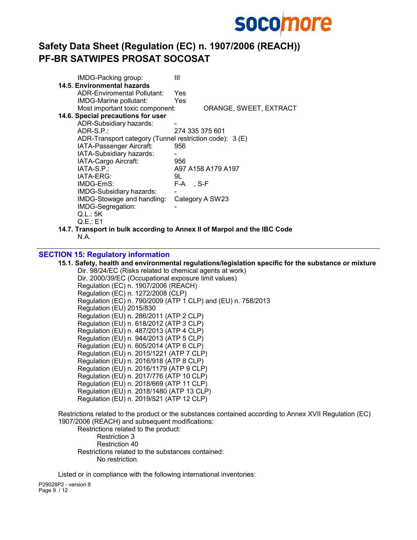

| IMDG-Packing group:                                     | Ш                                                                        |
|---------------------------------------------------------|--------------------------------------------------------------------------|
| 14.5. Environmental hazards                             |                                                                          |
| ADR-Enviromental Pollutant:                             | Yes                                                                      |
| IMDG-Marine pollutant:                                  | Yes                                                                      |
| Most important toxic component:                         | ORANGE, SWEET, EXTRACT                                                   |
| 14.6. Special precautions for user                      |                                                                          |
| ADR-Subsidiary hazards:                                 |                                                                          |
| $ADR-S.P.$                                              | 274 335 375 601                                                          |
| ADR-Transport category (Tunnel restriction code): 3 (E) |                                                                          |
| IATA-Passenger Aircraft:                                | 956                                                                      |
| IATA-Subsidiary hazards:                                |                                                                          |
| IATA-Cargo Aircraft:                                    | 956                                                                      |
| IATA-S.P.:                                              | A97 A158 A179 A197                                                       |
| IATA-ERG:                                               | 9L                                                                       |
| IMDG-EmS:                                               | F-A, S-F                                                                 |
| IMDG-Subsidiary hazards:                                |                                                                          |
| IMDG-Stowage and handling:                              | Category A SW23                                                          |
| IMDG-Segregation:                                       |                                                                          |
| Q.L.: 5K                                                |                                                                          |
| Q.E.:E1                                                 |                                                                          |
|                                                         | 14.7. Transport in bulk according to Annex II of Marpol and the IBC Code |
| N.A.                                                    |                                                                          |

## SECTION 15: Regulatory information

15.1. Safety, health and environmental regulations/legislation specific for the substance or mixture Dir. 98/24/EC (Risks related to chemical agents at work) Dir. 2000/39/EC (Occupational exposure limit values) Regulation (EC) n. 1907/2006 (REACH) Regulation (EC) n. 1272/2008 (CLP) Regulation (EC) n. 790/2009 (ATP 1 CLP) and (EU) n. 758/2013 Regulation (EU) 2015/830 Regulation (EU) n. 286/2011 (ATP 2 CLP) Regulation (EU) n. 618/2012 (ATP 3 CLP) Regulation (EU) n. 487/2013 (ATP 4 CLP) Regulation (EU) n. 944/2013 (ATP 5 CLP) Regulation (EU) n. 605/2014 (ATP 6 CLP) Regulation (EU) n. 2015/1221 (ATP 7 CLP) Regulation (EU) n. 2016/918 (ATP 8 CLP) Regulation (EU) n. 2016/1179 (ATP 9 CLP) Regulation (EU) n. 2017/776 (ATP 10 CLP) Regulation (EU) n. 2018/669 (ATP 11 CLP) Regulation (EU) n. 2018/1480 (ATP 13 CLP) Regulation (EU) n. 2019/521 (ATP 12 CLP)

Restrictions related to the product or the substances contained according to Annex XVII Regulation (EC) 1907/2006 (REACH) and subsequent modifications:

Restrictions related to the product: Restriction 3 Restriction 40 Restrictions related to the substances contained: No restriction.

Listed or in compliance with the following international inventories:

P29028P2 - version 8 Page 9 / 12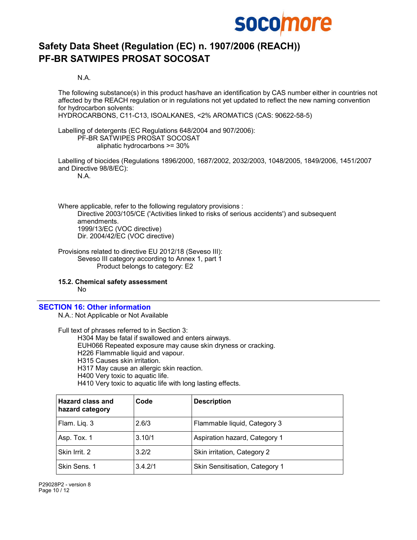

N.A.

The following substance(s) in this product has/have an identification by CAS number either in countries not affected by the REACH regulation or in regulations not yet updated to reflect the new naming convention for hydrocarbon solvents:

HYDROCARBONS, C11-C13, ISOALKANES, <2% AROMATICS (CAS: 90622-58-5)

Labelling of detergents (EC Regulations 648/2004 and 907/2006): PF-BR SATWIPES PROSAT SOCOSAT aliphatic hydrocarbons >= 30%

Labelling of biocides (Regulations 1896/2000, 1687/2002, 2032/2003, 1048/2005, 1849/2006, 1451/2007 and Directive 98/8/EC):

N.A.

Where applicable, refer to the following regulatory provisions : Directive 2003/105/CE ('Activities linked to risks of serious accidents') and subsequent amendments. 1999/13/EC (VOC directive) Dir. 2004/42/EC (VOC directive)

Provisions related to directive EU 2012/18 (Seveso III): Seveso III category according to Annex 1, part 1 Product belongs to category: E2

15.2. Chemical safety assessment

No

#### SECTION 16: Other information

N.A.: Not Applicable or Not Available

Full text of phrases referred to in Section 3: H304 May be fatal if swallowed and enters airways. EUH066 Repeated exposure may cause skin dryness or cracking. H226 Flammable liquid and vapour. H315 Causes skin irritation. H317 May cause an allergic skin reaction. H400 Very toxic to aquatic life. H410 Very toxic to aquatic life with long lasting effects.

| <b>Hazard class and</b><br>hazard category | Code    | <b>Description</b>             |
|--------------------------------------------|---------|--------------------------------|
| Flam. Liq. 3                               | 2.6/3   | Flammable liquid, Category 3   |
| Asp. Tox. 1                                | 3.10/1  | Aspiration hazard, Category 1  |
| Skin Irrit. 2                              | 3.2/2   | Skin irritation, Category 2    |
| Skin Sens. 1                               | 3.4.2/1 | Skin Sensitisation, Category 1 |

P29028P2 - version 8 Page 10 / 12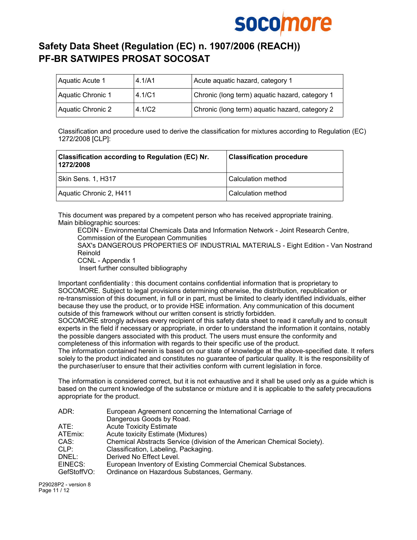

| Aquatic Acute 1          | 4.1/A1 | Acute aquatic hazard, category 1               |
|--------------------------|--------|------------------------------------------------|
| Aquatic Chronic 1        | 4.1/C1 | Chronic (long term) aquatic hazard, category 1 |
| <b>Aquatic Chronic 2</b> | 4.1/C2 | Chronic (long term) aquatic hazard, category 2 |

Classification and procedure used to derive the classification for mixtures according to Regulation (EC) 1272/2008 [CLP]:

| Classification according to Regulation (EC) Nr.<br>1272/2008 | <b>Classification procedure</b> |
|--------------------------------------------------------------|---------------------------------|
| Skin Sens. 1, H317                                           | l Calculation method            |
| Aquatic Chronic 2, H411                                      | Calculation method              |

This document was prepared by a competent person who has received appropriate training. Main bibliographic sources:

ECDIN - Environmental Chemicals Data and Information Network - Joint Research Centre, Commission of the European Communities

SAX's DANGEROUS PROPERTIES OF INDUSTRIAL MATERIALS - Eight Edition - Van Nostrand Reinold

CCNL - Appendix 1

Insert further consulted bibliography

Important confidentiality : this document contains confidential information that is proprietary to SOCOMORE. Subject to legal provisions determining otherwise, the distribution, republication or re-transmission of this document, in full or in part, must be limited to clearly identified individuals, either because they use the product, or to provide HSE information. Any communication of this document outside of this framework without our written consent is strictly forbidden.

SOCOMORE strongly advises every recipient of this safety data sheet to read it carefully and to consult experts in the field if necessary or appropriate, in order to understand the information it contains, notably the possible dangers associated with this product. The users must ensure the conformity and completeness of this information with regards to their specific use of the product.

The information contained herein is based on our state of knowledge at the above-specified date. It refers solely to the product indicated and constitutes no guarantee of particular quality. It is the responsibility of the purchaser/user to ensure that their activities conform with current legislation in force.

The information is considered correct, but it is not exhaustive and it shall be used only as a guide which is based on the current knowledge of the substance or mixture and it is applicable to the safety precautions appropriate for the product.

| ADR:        | European Agreement concerning the International Carriage of             |
|-------------|-------------------------------------------------------------------------|
|             | Dangerous Goods by Road.                                                |
| ATE:        | <b>Acute Toxicity Estimate</b>                                          |
| ATEmix:     | Acute toxicity Estimate (Mixtures)                                      |
| CAS:        | Chemical Abstracts Service (division of the American Chemical Society). |
| CLP:        | Classification, Labeling, Packaging.                                    |
| DNEL:       | Derived No Effect Level.                                                |
| EINECS:     | European Inventory of Existing Commercial Chemical Substances.          |
| GefStoffVO: | Ordinance on Hazardous Substances, Germany.                             |

P29028P2 - version 8 Page 11 / 12